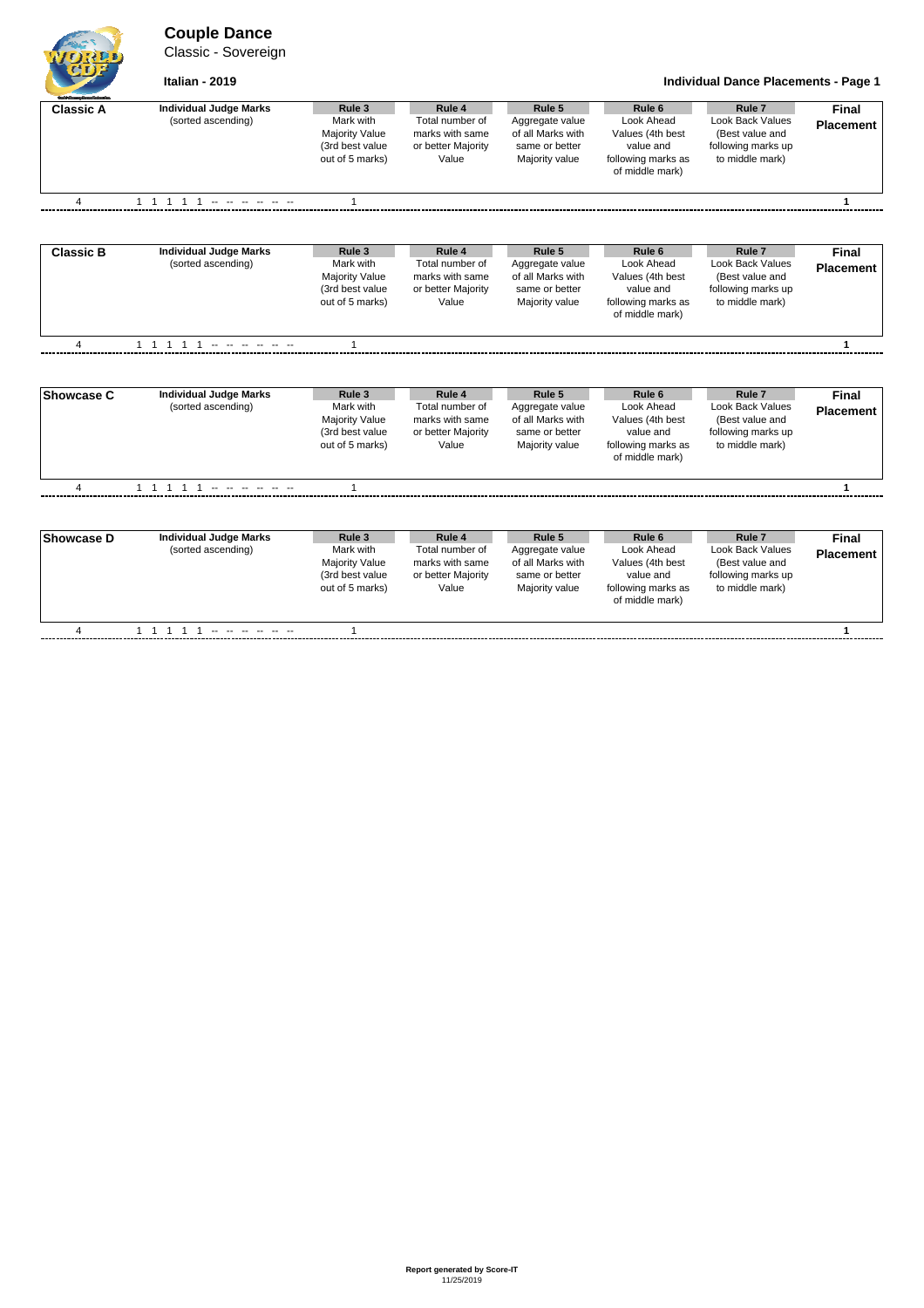## **Couple Dance**

Classic - Sovereign



| <b>Guild Grantes Danual Adv</b><br><b>Classic A</b> | <b>Individual Judge Marks</b> | Rule 3                             | Rule 4                             | Rule 5                               | Rule <sub>6</sub>                     | Rule <sub>7</sub>                          | Final            |
|-----------------------------------------------------|-------------------------------|------------------------------------|------------------------------------|--------------------------------------|---------------------------------------|--------------------------------------------|------------------|
|                                                     | (sorted ascending)            | Mark with                          | Total number of                    | Aggregate value                      | Look Ahead                            | <b>Look Back Values</b>                    | <b>Placement</b> |
|                                                     |                               | Majority Value                     | marks with same                    | of all Marks with                    | Values (4th best                      | (Best value and                            |                  |
|                                                     |                               | (3rd best value<br>out of 5 marks) | or better Majority<br>Value        | same or better<br>Majority value     | value and<br>following marks as       | following marks up<br>to middle mark)      |                  |
|                                                     |                               |                                    |                                    |                                      | of middle mark)                       |                                            |                  |
| 4                                                   |                               | 1                                  |                                    |                                      |                                       |                                            | 1                |
|                                                     |                               |                                    |                                    |                                      |                                       |                                            |                  |
| <b>Classic B</b>                                    | <b>Individual Judge Marks</b> | Rule 3                             | Rule 4                             | Rule 5                               | Rule <sub>6</sub>                     | Rule <sub>7</sub>                          | <b>Final</b>     |
|                                                     | (sorted ascending)            | Mark with                          | Total number of                    | Aggregate value                      | Look Ahead                            | <b>Look Back Values</b>                    | <b>Placement</b> |
|                                                     |                               | Majority Value                     | marks with same                    | of all Marks with                    | Values (4th best<br>value and         | (Best value and                            |                  |
|                                                     |                               | (3rd best value<br>out of 5 marks) | or better Majority<br>Value        | same or better<br>Majority value     | following marks as                    | following marks up<br>to middle mark)      |                  |
|                                                     |                               |                                    |                                    |                                      | of middle mark)                       |                                            |                  |
| $\overline{4}$                                      |                               | $\mathbf{1}$                       |                                    |                                      |                                       |                                            | 1                |
|                                                     |                               |                                    |                                    |                                      |                                       |                                            |                  |
| <b>Showcase C</b>                                   | <b>Individual Judge Marks</b> | Rule 3                             | Rule 4                             | Rule 5                               | Rule <sub>6</sub>                     | Rule <sub>7</sub>                          | <b>Final</b>     |
|                                                     | (sorted ascending)            | Mark with<br>Majority Value        | Total number of<br>marks with same | Aggregate value<br>of all Marks with | Look Ahead<br>Values (4th best        | <b>Look Back Values</b><br>(Best value and | <b>Placement</b> |
|                                                     |                               | (3rd best value                    | or better Majority                 | same or better                       | value and                             | following marks up                         |                  |
|                                                     |                               | out of 5 marks)                    | Value                              | Majority value                       | following marks as<br>of middle mark) | to middle mark)                            |                  |
| $\overline{4}$                                      | 1 1 1 1 1 - - - - - -         | $\mathbf{1}$                       |                                    |                                      |                                       |                                            | 1                |
|                                                     |                               |                                    |                                    |                                      |                                       |                                            |                  |
| <b>Showcase D</b>                                   | <b>Individual Judge Marks</b> | Rule 3                             | Rule 4                             | Rule 5                               | Rule <sub>6</sub>                     | Rule <sub>7</sub>                          | Final            |
|                                                     | (sorted ascending)            | Mark with                          | Total number of                    | Aggregate value                      | Look Ahead                            | <b>Look Back Values</b>                    | <b>Placement</b> |
|                                                     |                               | Majority Value                     | marks with same                    | of all Marks with                    | Values (4th best                      | (Best value and                            |                  |
|                                                     |                               | (3rd best value                    | or better Majority                 | same or better                       | value and                             | following marks up                         |                  |
|                                                     |                               | out of 5 marks)                    | Value                              | Majority value                       | following marks as<br>of middle mark) | to middle mark)                            |                  |
| 4                                                   | 1 1 1 1 1 - - - - - -         | 1                                  |                                    |                                      |                                       |                                            | 1                |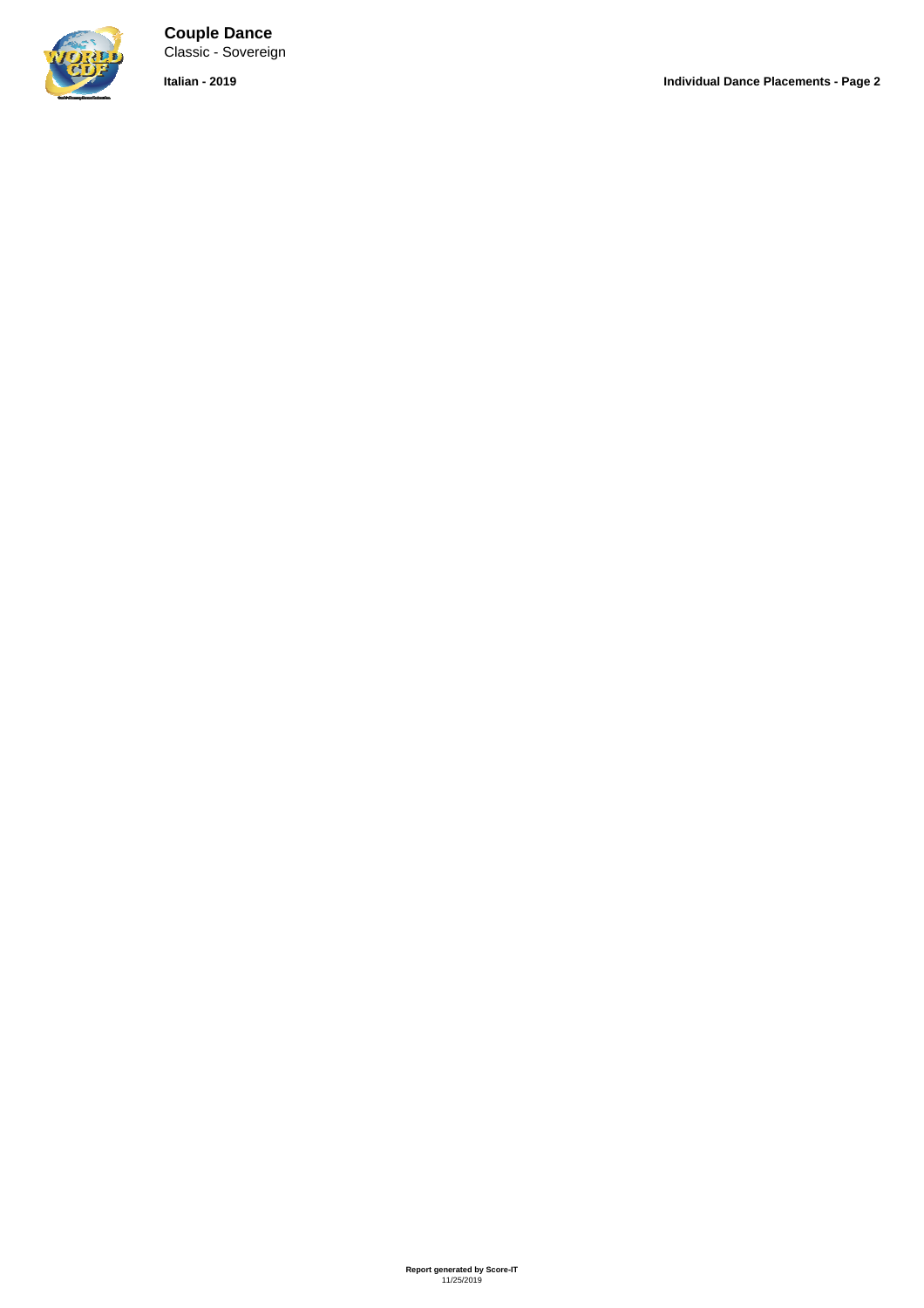**Couple Dance** Classic - Sovereign

**Italian - 2019 Individual Dance Placements - Page 2**

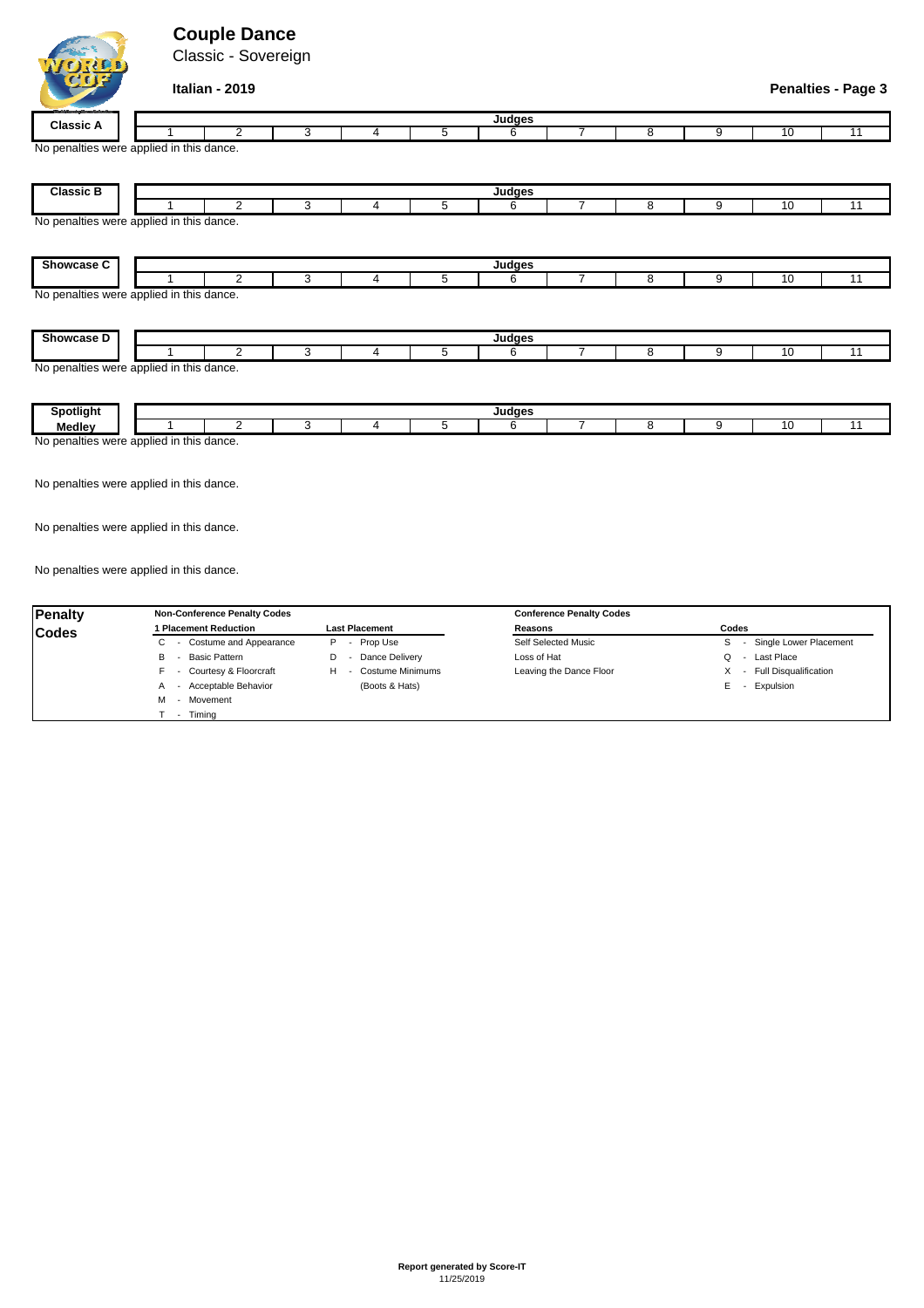## **Couple Dance**

Classic - Sovereign

| <b><i>CARD CARD TON</i></b> |
|-----------------------------|
| Classic A                   |

No penalties were applied in this dance. **Classic A** 2 1 2 2 3 3 4 4 5 3 3 4 5 6 7 7 8 9 3 4 3 4 5 2 8 2 8 2 2 3 4 5 6 7 7 8 7 8 7 9 7 10 11 **Judges** 4 | 5 | 6 | 7 | 8 | 9 1 | 2 | 3 | 4 | 5 | 6 | 7 | 8 | 9 | 10

No penalties were applied in this dance. No penalties were applied in this dance. No penalties were applied in this dance. No penalties were applied in this dance. No penalties were applied in this dance. **Classic B Judges 1 1 2 3 4 5 6 6** 1 | 2 | 3 | 4 | 5 | 6 | 7 | 8 9 10 11 **Showcase C 1 1 2 1 3 4 1 5 6 6** 1 2 3 4 5 6 7 8 9 10 11 4 5 6 7 8 9 **Showcase D Judges D Judges D 1 1 2 1 3 1 4 1 5 1 6 6** 1 2 3 4 5 6 7 8 9 10 11 5 | 6 | 7 | 8 **Spotlight Medley Judges** 1 | 2 | 3 | 4 | 5 | 6 | 7 | 8 | 9 | 10 | 11

No penalties were applied in this dance.

No penalties were applied in this dance.

| <b>Penalty</b> | <b>Non-Conference Penalty Codes</b> |                                                           | <b>Conference Penalty Codes</b> |                                             |
|----------------|-------------------------------------|-----------------------------------------------------------|---------------------------------|---------------------------------------------|
| <b>Codes</b>   | <b>Placement Reduction</b>          | <b>Last Placement</b>                                     | Reasons                         | Codes                                       |
|                | - Costume and Appearance<br>C       | - Prop Use<br>P.                                          | Self Selected Music             | Single Lower Placement<br>s                 |
|                | Basic Pattern<br>В                  | Dance Delivery<br>$\overline{\phantom{a}}$                | Loss of Hat                     | Last Place<br>Q                             |
|                | - Courtesy & Floorcraft             | <b>Costume Minimums</b><br>н.<br>$\overline{\phantom{a}}$ | Leaving the Dance Floor         | <b>Full Disqualification</b><br>$\sim$      |
|                | - Acceptable Behavior<br>A          | (Boots & Hats)                                            |                                 | Expulsion<br>E.<br>$\overline{\phantom{a}}$ |
|                | - Movement<br>м                     |                                                           |                                 |                                             |
|                | Timina                              |                                                           |                                 |                                             |